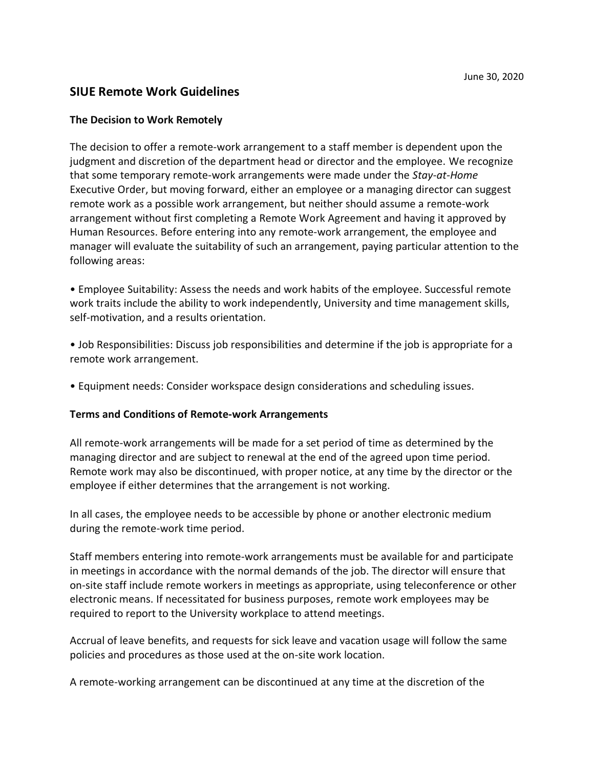## **SIUE Remote Work Guidelines**

#### **The Decision to Work Remotely**

The decision to offer a remote-work arrangement to a staff member is dependent upon the judgment and discretion of the department head or director and the employee. We recognize that some temporary remote-work arrangements were made under the *Stay-at-Home* Executive Order, but moving forward, either an employee or a managing director can suggest remote work as a possible work arrangement, but neither should assume a remote-work arrangement without first completing a Remote Work Agreement and having it approved by Human Resources. Before entering into any remote-work arrangement, the employee and manager will evaluate the suitability of such an arrangement, paying particular attention to the following areas:

• Employee Suitability: Assess the needs and work habits of the employee. Successful remote work traits include the ability to work independently, University and time management skills, self-motivation, and a results orientation.

• Job Responsibilities: Discuss job responsibilities and determine if the job is appropriate for a remote work arrangement.

• Equipment needs: Consider workspace design considerations and scheduling issues.

#### **Terms and Conditions of Remote-work Arrangements**

All remote-work arrangements will be made for a set period of time as determined by the managing director and are subject to renewal at the end of the agreed upon time period. Remote work may also be discontinued, with proper notice, at any time by the director or the employee if either determines that the arrangement is not working.

In all cases, the employee needs to be accessible by phone or another electronic medium during the remote-work time period.

Staff members entering into remote-work arrangements must be available for and participate in meetings in accordance with the normal demands of the job. The director will ensure that on-site staff include remote workers in meetings as appropriate, using teleconference or other electronic means. If necessitated for business purposes, remote work employees may be required to report to the University workplace to attend meetings.

Accrual of leave benefits, and requests for sick leave and vacation usage will follow the same policies and procedures as those used at the on-site work location.

A remote-working arrangement can be discontinued at any time at the discretion of the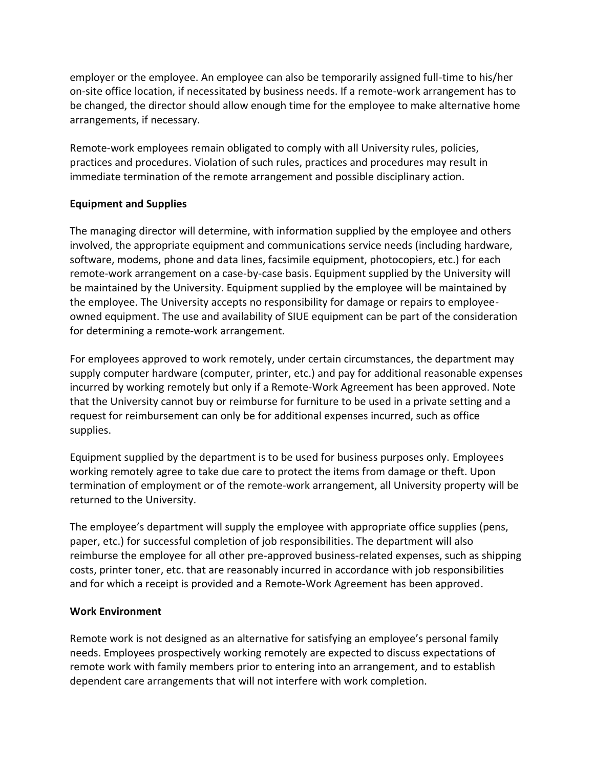employer or the employee. An employee can also be temporarily assigned full-time to his/her on-site office location, if necessitated by business needs. If a remote-work arrangement has to be changed, the director should allow enough time for the employee to make alternative home arrangements, if necessary.

Remote-work employees remain obligated to comply with all University rules, policies, practices and procedures. Violation of such rules, practices and procedures may result in immediate termination of the remote arrangement and possible disciplinary action.

### **Equipment and Supplies**

The managing director will determine, with information supplied by the employee and others involved, the appropriate equipment and communications service needs (including hardware, software, modems, phone and data lines, facsimile equipment, photocopiers, etc.) for each remote-work arrangement on a case-by-case basis. Equipment supplied by the University will be maintained by the University. Equipment supplied by the employee will be maintained by the employee. The University accepts no responsibility for damage or repairs to employeeowned equipment. The use and availability of SIUE equipment can be part of the consideration for determining a remote-work arrangement.

For employees approved to work remotely, under certain circumstances, the department may supply computer hardware (computer, printer, etc.) and pay for additional reasonable expenses incurred by working remotely but only if a Remote-Work Agreement has been approved. Note that the University cannot buy or reimburse for furniture to be used in a private setting and a request for reimbursement can only be for additional expenses incurred, such as office supplies.

Equipment supplied by the department is to be used for business purposes only. Employees working remotely agree to take due care to protect the items from damage or theft. Upon termination of employment or of the remote-work arrangement, all University property will be returned to the University.

The employee's department will supply the employee with appropriate office supplies (pens, paper, etc.) for successful completion of job responsibilities. The department will also reimburse the employee for all other pre-approved business-related expenses, such as shipping costs, printer toner, etc. that are reasonably incurred in accordance with job responsibilities and for which a receipt is provided and a Remote-Work Agreement has been approved.

## **Work Environment**

Remote work is not designed as an alternative for satisfying an employee's personal family needs. Employees prospectively working remotely are expected to discuss expectations of remote work with family members prior to entering into an arrangement, and to establish dependent care arrangements that will not interfere with work completion.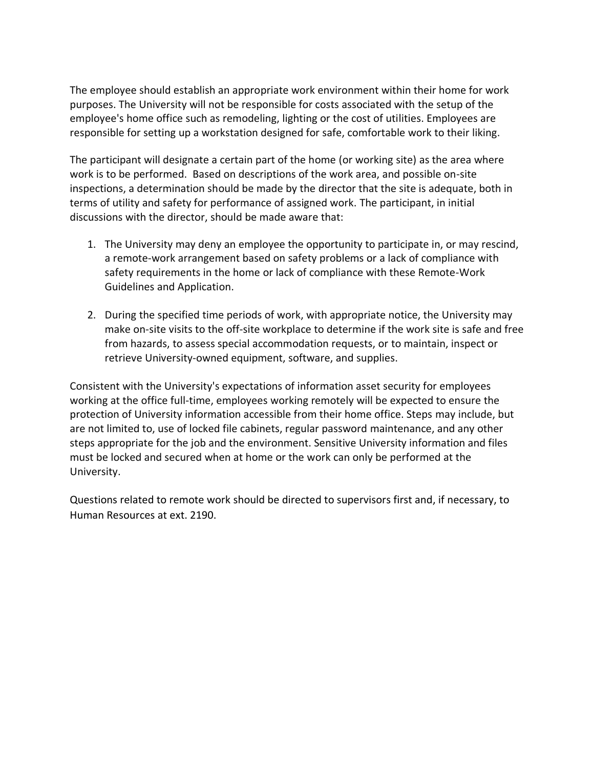The employee should establish an appropriate work environment within their home for work purposes. The University will not be responsible for costs associated with the setup of the employee's home office such as remodeling, lighting or the cost of utilities. Employees are responsible for setting up a workstation designed for safe, comfortable work to their liking.

The participant will designate a certain part of the home (or working site) as the area where work is to be performed. Based on descriptions of the work area, and possible on-site inspections, a determination should be made by the director that the site is adequate, both in terms of utility and safety for performance of assigned work. The participant, in initial discussions with the director, should be made aware that:

- 1. The University may deny an employee the opportunity to participate in, or may rescind, a remote-work arrangement based on safety problems or a lack of compliance with safety requirements in the home or lack of compliance with these Remote-Work Guidelines and Application.
- 2. During the specified time periods of work, with appropriate notice, the University may make on-site visits to the off-site workplace to determine if the work site is safe and free from hazards, to assess special accommodation requests, or to maintain, inspect or retrieve University-owned equipment, software, and supplies.

Consistent with the University's expectations of information asset security for employees working at the office full-time, employees working remotely will be expected to ensure the protection of University information accessible from their home office. Steps may include, but are not limited to, use of locked file cabinets, regular password maintenance, and any other steps appropriate for the job and the environment. Sensitive University information and files must be locked and secured when at home or the work can only be performed at the University.

Questions related to remote work should be directed to supervisors first and, if necessary, to Human Resources at ext. 2190.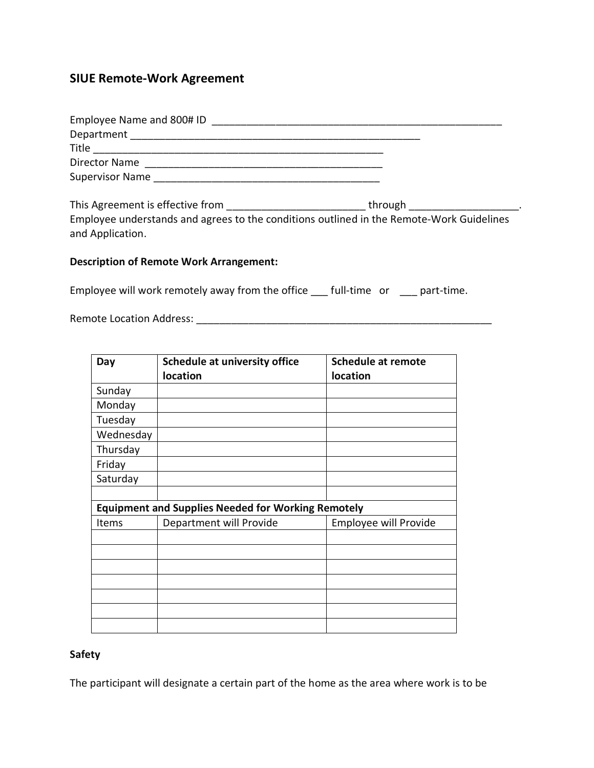# **SIUE Remote-Work Agreement**

| Department                                                                               |                                                                                                                                                                                                                                |
|------------------------------------------------------------------------------------------|--------------------------------------------------------------------------------------------------------------------------------------------------------------------------------------------------------------------------------|
|                                                                                          |                                                                                                                                                                                                                                |
| Director Name                                                                            |                                                                                                                                                                                                                                |
|                                                                                          |                                                                                                                                                                                                                                |
| This Agreement is effective from                                                         | through the contract of the contract of the contract of the contract of the contract of the contract of the contract of the contract of the contract of the contract of the contract of the contract of the contract of the co |
| Employee understands and agrees to the conditions outlined in the Remote-Work Guidelines |                                                                                                                                                                                                                                |

# **Description of Remote Work Arrangement:**

Employee will work remotely away from the office \_\_\_ full-time or \_\_\_ part-time.

Remote Location Address: \_\_\_\_\_\_\_\_\_\_\_\_\_\_\_\_\_\_\_\_\_\_\_\_\_\_\_\_\_\_\_\_\_\_\_\_\_\_\_\_\_\_\_\_\_\_\_\_\_\_\_

and Application.

| Day                                                       | <b>Schedule at university office</b><br>location | <b>Schedule at remote</b><br>location |
|-----------------------------------------------------------|--------------------------------------------------|---------------------------------------|
| Sunday                                                    |                                                  |                                       |
| Monday                                                    |                                                  |                                       |
| Tuesday                                                   |                                                  |                                       |
| Wednesday                                                 |                                                  |                                       |
| Thursday                                                  |                                                  |                                       |
| Friday                                                    |                                                  |                                       |
| Saturday                                                  |                                                  |                                       |
|                                                           |                                                  |                                       |
| <b>Equipment and Supplies Needed for Working Remotely</b> |                                                  |                                       |
| Items                                                     | Department will Provide                          | <b>Employee will Provide</b>          |
|                                                           |                                                  |                                       |
|                                                           |                                                  |                                       |
|                                                           |                                                  |                                       |
|                                                           |                                                  |                                       |
|                                                           |                                                  |                                       |
|                                                           |                                                  |                                       |
|                                                           |                                                  |                                       |

## **Safety**

The participant will designate a certain part of the home as the area where work is to be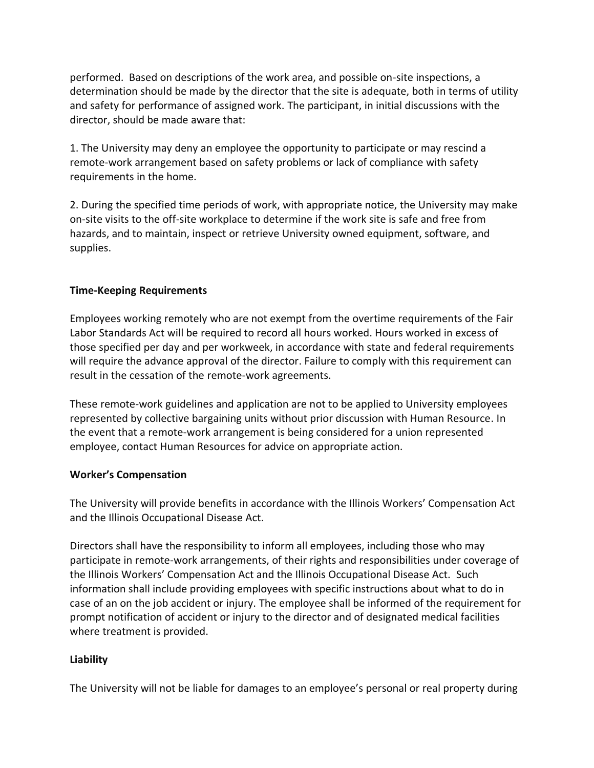performed. Based on descriptions of the work area, and possible on-site inspections, a determination should be made by the director that the site is adequate, both in terms of utility and safety for performance of assigned work. The participant, in initial discussions with the director, should be made aware that:

1. The University may deny an employee the opportunity to participate or may rescind a remote-work arrangement based on safety problems or lack of compliance with safety requirements in the home.

2. During the specified time periods of work, with appropriate notice, the University may make on-site visits to the off-site workplace to determine if the work site is safe and free from hazards, and to maintain, inspect or retrieve University owned equipment, software, and supplies.

## **Time-Keeping Requirements**

Employees working remotely who are not exempt from the overtime requirements of the Fair Labor Standards Act will be required to record all hours worked. Hours worked in excess of those specified per day and per workweek, in accordance with state and federal requirements will require the advance approval of the director. Failure to comply with this requirement can result in the cessation of the remote-work agreements.

These remote-work guidelines and application are not to be applied to University employees represented by collective bargaining units without prior discussion with Human Resource. In the event that a remote-work arrangement is being considered for a union represented employee, contact Human Resources for advice on appropriate action.

### **Worker's Compensation**

The University will provide benefits in accordance with the Illinois Workers' Compensation Act and the Illinois Occupational Disease Act.

Directors shall have the responsibility to inform all employees, including those who may participate in remote-work arrangements, of their rights and responsibilities under coverage of the Illinois Workers' Compensation Act and the Illinois Occupational Disease Act. Such information shall include providing employees with specific instructions about what to do in case of an on the job accident or injury. The employee shall be informed of the requirement for prompt notification of accident or injury to the director and of designated medical facilities where treatment is provided.

## **Liability**

The University will not be liable for damages to an employee's personal or real property during